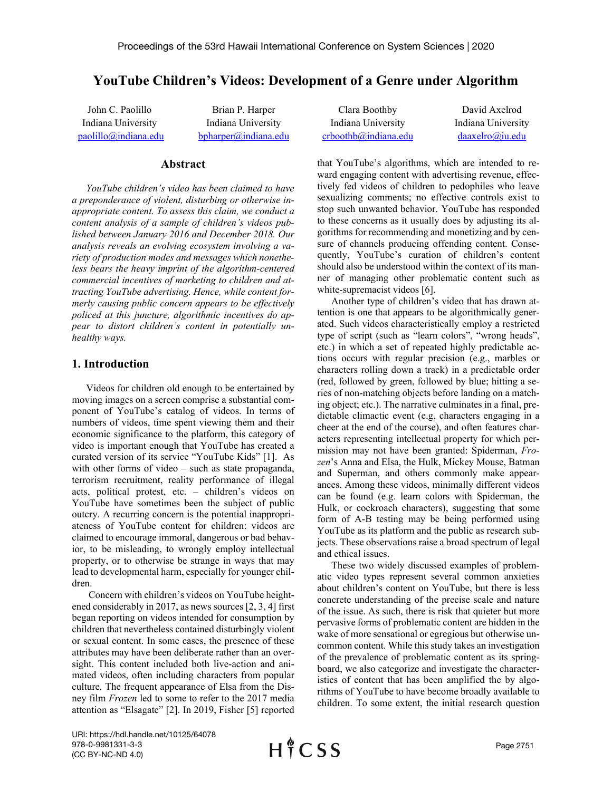# **YouTube Children's Videos: Development of a Genre under Algorithm**

John C. Paolillo Indiana University [paolillo@indiana.edu](mailto:paolillo@indiana.edu)

Brian P. Harper Indiana University [bpharper@indiana.edu](mailto:bpharper@indiana.edu)

#### **Abstract**

*YouTube children's video has been claimed to have a preponderance of violent, disturbing or otherwise inappropriate content. To assess this claim, we conduct a content analysis of a sample of children's videos published between January 2016 and December 2018. Our analysis reveals an evolving ecosystem involving a variety of production modes and messages which nonetheless bears the heavy imprint of the algorithm-centered commercial incentives of marketing to children and attracting YouTube advertising. Hence, while content formerly causing public concern appears to be effectively policed at this juncture, algorithmic incentives do appear to distort children's content in potentially unhealthy ways.* 

# **1. Introduction**

Videos for children old enough to be entertained by moving images on a screen comprise a substantial component of YouTube's catalog of videos. In terms of numbers of videos, time spent viewing them and their economic significance to the platform, this category of video is important enough that YouTube has created a curated version of its service "YouTube Kids" [1]. As with other forms of video – such as state propaganda, terrorism recruitment, reality performance of illegal acts, political protest, etc. – children's videos on YouTube have sometimes been the subject of public outcry. A recurring concern is the potential inappropriateness of YouTube content for children: videos are claimed to encourage immoral, dangerous or bad behavior, to be misleading, to wrongly employ intellectual property, or to otherwise be strange in ways that may lead to developmental harm, especially for younger children.

Concern with children's videos on YouTube heightened considerably in 2017, as news sources [2, 3, 4] first began reporting on videos intended for consumption by children that nevertheless contained disturbingly violent or sexual content. In some cases, the presence of these attributes may have been deliberate rather than an oversight. This content included both live-action and animated videos, often including characters from popular culture. The frequent appearance of Elsa from the Disney film *Frozen* led to some to refer to the 2017 media attention as "Elsagate" [2]. In 2019, Fisher [5] reported

| Clara Boothby        | David Axelrod      |
|----------------------|--------------------|
| Indiana University   | Indiana University |
| crboothb@indiana.edu | daaxelro@iu.edu    |

that YouTube's algorithms, which are intended to reward engaging content with advertising revenue, effectively fed videos of children to pedophiles who leave sexualizing comments; no effective controls exist to stop such unwanted behavior. YouTube has responded to these concerns as it usually does by adjusting its algorithms for recommending and monetizing and by censure of channels producing offending content. Consequently, YouTube's curation of children's content should also be understood within the context of its manner of managing other problematic content such as white-supremacist videos [6].

Another type of children's video that has drawn attention is one that appears to be algorithmically generated. Such videos characteristically employ a restricted type of script (such as "learn colors", "wrong heads", etc.) in which a set of repeated highly predictable actions occurs with regular precision (e.g., marbles or characters rolling down a track) in a predictable order (red, followed by green, followed by blue; hitting a series of non-matching objects before landing on a matching object; etc.). The narrative culminates in a final, predictable climactic event (e.g. characters engaging in a cheer at the end of the course), and often features characters representing intellectual property for which permission may not have been granted: Spiderman, *Frozen*'s Anna and Elsa, the Hulk, Mickey Mouse, Batman and Superman, and others commonly make appearances. Among these videos, minimally different videos can be found (e.g. learn colors with Spiderman, the Hulk, or cockroach characters), suggesting that some form of A-B testing may be being performed using YouTube as its platform and the public as research subjects. These observations raise a broad spectrum of legal and ethical issues.

These two widely discussed examples of problematic video types represent several common anxieties about children's content on YouTube, but there is less concrete understanding of the precise scale and nature of the issue. As such, there is risk that quieter but more pervasive forms of problematic content are hidden in the wake of more sensational or egregious but otherwise uncommon content. While this study takes an investigation of the prevalence of problematic content as its springboard, we also categorize and investigate the characteristics of content that has been amplified the by algorithms of YouTube to have become broadly available to children. To some extent, the initial research question

URI: https://hdl.handle.net/10125/64078 978-0-9981331-3-3 (CC BY-NC-ND 4.0)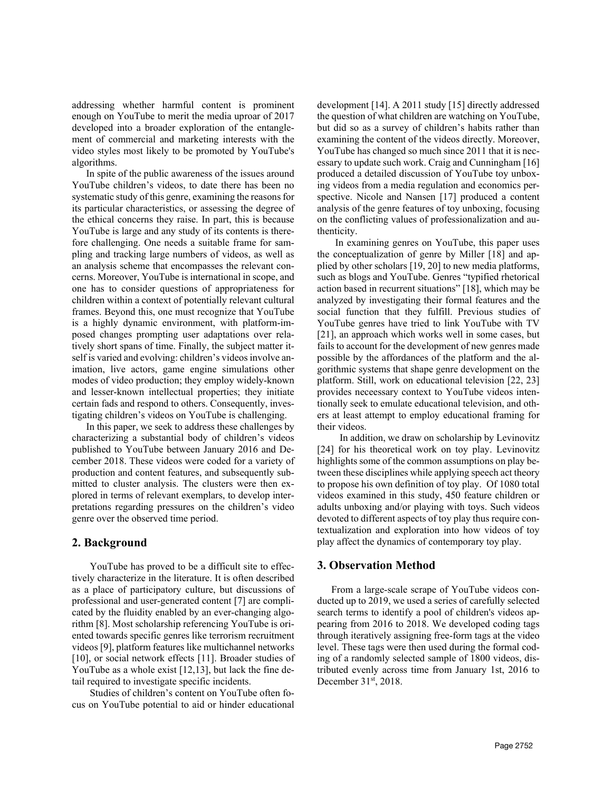addressing whether harmful content is prominent enough on YouTube to merit the media uproar of 2017 developed into a broader exploration of the entanglement of commercial and marketing interests with the video styles most likely to be promoted by YouTube's algorithms.

In spite of the public awareness of the issues around YouTube children's videos, to date there has been no systematic study of this genre, examining the reasons for its particular characteristics, or assessing the degree of the ethical concerns they raise. In part, this is because YouTube is large and any study of its contents is therefore challenging. One needs a suitable frame for sampling and tracking large numbers of videos, as well as an analysis scheme that encompasses the relevant concerns. Moreover, YouTube is international in scope, and one has to consider questions of appropriateness for children within a context of potentially relevant cultural frames. Beyond this, one must recognize that YouTube is a highly dynamic environment, with platform-imposed changes prompting user adaptations over relatively short spans of time. Finally, the subject matter itself is varied and evolving: children's videos involve animation, live actors, game engine simulations other modes of video production; they employ widely-known and lesser-known intellectual properties; they initiate certain fads and respond to others. Consequently, investigating children's videos on YouTube is challenging.

In this paper, we seek to address these challenges by characterizing a substantial body of children's videos published to YouTube between January 2016 and December 2018. These videos were coded for a variety of production and content features, and subsequently submitted to cluster analysis. The clusters were then explored in terms of relevant exemplars, to develop interpretations regarding pressures on the children's video genre over the observed time period.

### **2. Background**

YouTube has proved to be a difficult site to effectively characterize in the literature. It is often described as a place of participatory culture, but discussions of professional and user-generated content [7] are complicated by the fluidity enabled by an ever-changing algorithm [8]. Most scholarship referencing YouTube is oriented towards specific genres like terrorism recruitment videos [9], platform features like multichannel networks [10], or social network effects [11]. Broader studies of YouTube as a whole exist [12,13], but lack the fine detail required to investigate specific incidents.

Studies of children's content on YouTube often focus on YouTube potential to aid or hinder educational development [14]. A 2011 study [15] directly addressed the question of what children are watching on YouTube, but did so as a survey of children's habits rather than examining the content of the videos directly. Moreover, YouTube has changed so much since 2011 that it is necessary to update such work. Craig and Cunningham [16] produced a detailed discussion of YouTube toy unboxing videos from a media regulation and economics perspective. Nicole and Nansen [17] produced a content analysis of the genre features of toy unboxing, focusing on the conflicting values of professionalization and authenticity.

In examining genres on YouTube, this paper uses the conceptualization of genre by Miller [18] and applied by other scholars [19, 20] to new media platforms, such as blogs and YouTube. Genres "typified rhetorical action based in recurrent situations" [18], which may be analyzed by investigating their formal features and the social function that they fulfill. Previous studies of YouTube genres have tried to link YouTube with TV [21], an approach which works well in some cases, but fails to account for the development of new genres made possible by the affordances of the platform and the algorithmic systems that shape genre development on the platform. Still, work on educational television [22, 23] provides neceessary context to YouTube videos intentionally seek to emulate educational television, and others at least attempt to employ educational framing for their videos.

In addition, we draw on scholarship by Levinovitz [24] for his theoretical work on toy play. Levinovitz highlights some of the common assumptions on play between these disciplines while applying speech act theory to propose his own definition of toy play. Of 1080 total videos examined in this study, 450 feature children or adults unboxing and/or playing with toys. Such videos devoted to different aspects of toy play thus require contextualization and exploration into how videos of toy play affect the dynamics of contemporary toy play.

# **3. Observation Method**

From a large-scale scrape of YouTube videos conducted up to 2019, we used a series of carefully selected search terms to identify a pool of children's videos appearing from 2016 to 2018. We developed coding tags through iteratively assigning free-form tags at the video level. These tags were then used during the formal coding of a randomly selected sample of 1800 videos, distributed evenly across time from January 1st, 2016 to December 31st, 2018.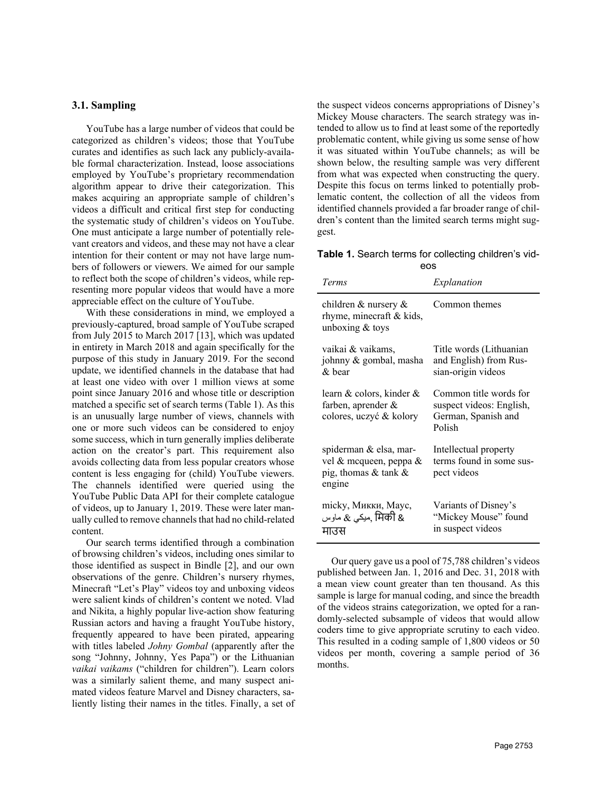#### **3.1. Sampling**

YouTube has a large number of videos that could be categorized as children's videos; those that YouTube curates and identifies as such lack any publicly-available formal characterization. Instead, loose associations employed by YouTube's proprietary recommendation algorithm appear to drive their categorization. This makes acquiring an appropriate sample of children's videos a difficult and critical first step for conducting the systematic study of children's videos on YouTube. One must anticipate a large number of potentially relevant creators and videos, and these may not have a clear intention for their content or may not have large numbers of followers or viewers. We aimed for our sample to reflect both the scope of children's videos, while representing more popular videos that would have a more appreciable effect on the culture of YouTube.

With these considerations in mind, we employed a previously-captured, broad sample of YouTube scraped from July 2015 to March 2017 [13], which was updated in entirety in March 2018 and again specifically for the purpose of this study in January 2019. For the second update, we identified channels in the database that had at least one video with over 1 million views at some point since January 2016 and whose title or description matched a specific set of search terms (Table 1). As this is an unusually large number of views, channels with one or more such videos can be considered to enjoy some success, which in turn generally implies deliberate action on the creator's part. This requirement also avoids collecting data from less popular creators whose content is less engaging for (child) YouTube viewers. The channels identified were queried using the YouTube Public Data API for their complete catalogue of videos, up to January 1, 2019. These were later manually culled to remove channels that had no child-related content.

Our search terms identified through a combination of browsing children's videos, including ones similar to those identified as suspect in Bindle [2], and our own observations of the genre. Children's nursery rhymes, Minecraft "Let's Play" videos toy and unboxing videos were salient kinds of children's content we noted. Vlad and Nikita, a highly popular live-action show featuring Russian actors and having a fraught YouTube history, frequently appeared to have been pirated, appearing with titles labeled *Johny Gombal* (apparently after the song "Johnny, Johnny, Yes Papa") or the Lithuanian *vaikai vaikams* ("children for children"). Learn colors was a similarly salient theme, and many suspect animated videos feature Marvel and Disney characters, saliently listing their names in the titles. Finally, a set of

the suspect videos concerns appropriations of Disney's Mickey Mouse characters. The search strategy was intended to allow us to find at least some of the reportedly problematic content, while giving us some sense of how it was situated within YouTube channels; as will be shown below, the resulting sample was very different from what was expected when constructing the query. Despite this focus on terms linked to potentially problematic content, the collection of all the videos from identified channels provided a far broader range of children's content than the limited search terms might suggest.

**Table 1.** Search terms for collecting children's videos

| Terms                                                                              | Explanation                                                                         |
|------------------------------------------------------------------------------------|-------------------------------------------------------------------------------------|
| children & nursery $\&$<br>rhyme, minecraft & kids,<br>unboxing $&$ toys           | Common themes                                                                       |
| vaikai & vaikams,<br>johnny & gombal, masha<br>& bear                              | Title words (Lithuanian<br>and English) from Rus-<br>sian-origin videos             |
| learn & colors, kinder &<br>farben, aprender $\&$<br>colores, uczyć & kolory       | Common title words for<br>suspect videos: English,<br>German, Spanish and<br>Polish |
| spiderman & elsa, mar-<br>vel & mcqueen, peppa &<br>pig, thomas & tank &<br>engine | Intellectual property<br>terms found in some sus-<br>pect videos                    |
| micky, Микки, Mayc,<br>میک <i>ی &amp;</i> ماوس, मिकी &<br>माउस                     | Variants of Disney's<br>"Mickey Mouse" found<br>in suspect videos                   |

Our query gave us a pool of 75,788 children's videos published between Jan. 1, 2016 and Dec. 31, 2018 with a mean view count greater than ten thousand. As this sample is large for manual coding, and since the breadth of the videos strains categorization, we opted for a randomly-selected subsample of videos that would allow coders time to give appropriate scrutiny to each video. This resulted in a coding sample of 1,800 videos or 50 videos per month, covering a sample period of 36 months.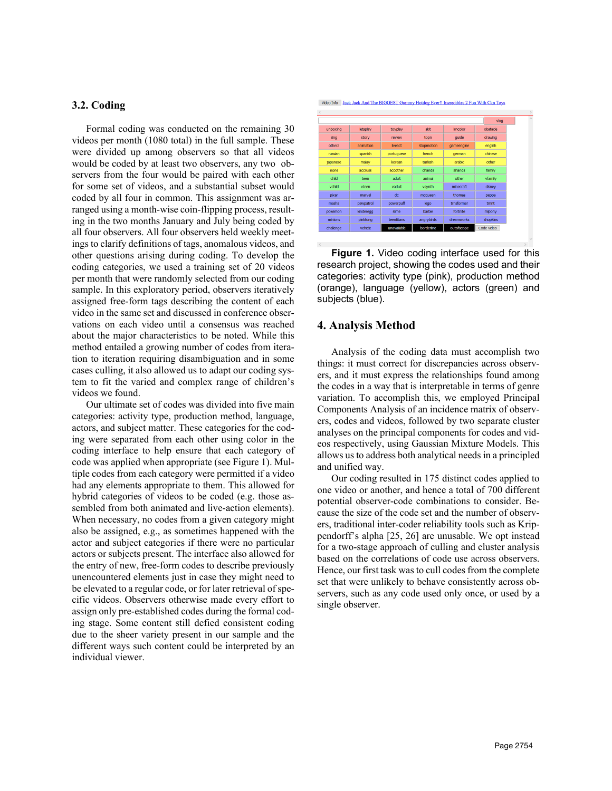### **3.2. Coding**

Formal coding was conducted on the remaining 30 videos per month (1080 total) in the full sample. These were divided up among observers so that all videos would be coded by at least two observers, any two observers from the four would be paired with each other for some set of videos, and a substantial subset would coded by all four in common. This assignment was arranged using a month-wise coin-flipping process, resulting in the two months January and July being coded by all four observers. All four observers held weekly meetings to clarify definitions of tags, anomalous videos, and other questions arising during coding. To develop the coding categories, we used a training set of 20 videos per month that were randomly selected from our coding sample. In this exploratory period, observers iteratively assigned free-form tags describing the content of each video in the same set and discussed in conference observations on each video until a consensus was reached about the major characteristics to be noted. While this method entailed a growing number of codes from iteration to iteration requiring disambiguation and in some cases culling, it also allowed us to adapt our coding system to fit the varied and complex range of children's videos we found.

Our ultimate set of codes was divided into five main categories: activity type, production method, language, actors, and subject matter. These categories for the coding were separated from each other using color in the coding interface to help ensure that each category of code was applied when appropriate (see Figure 1). Multiple codes from each category were permitted if a video had any elements appropriate to them. This allowed for hybrid categories of videos to be coded (e.g. those assembled from both animated and live-action elements). When necessary, no codes from a given category might also be assigned, e.g., as sometimes happened with the actor and subject categories if there were no particular actors or subjects present. The interface also allowed for the entry of new, free-form codes to describe previously unencountered elements just in case they might need to be elevated to a regular code, or for later retrieval of specific videos. Observers otherwise made every effort to assign only pre-established codes during the formal coding stage. Some content still defied consistent coding due to the sheer variety present in our sample and the different ways such content could be interpreted by an individual viewer.

Video Info Jack Jack And The BIGGEST Gummy Hotdog Ever!! Incredibles 2 Fun With Ckn Toys

|             |           |                |            |            | vlog       |
|-------------|-----------|----------------|------------|------------|------------|
| unboxing    | letsplay  | toyplay        | skit       | Irncolor   | obstacle   |
| sing        | story     | review         | topn       | quide      | drawing    |
| othera      | animation | <b>liveact</b> | stopmotion | gameengine | english    |
| russian     | spanish   | portuguese     | french     | german     | chinese    |
| japanese    | malav     | korean         | turkish    | arabic     | other      |
| <b>none</b> | accruss   | accother       | chands     | ahands     | family     |
| child       | teen      | adult          | animal     | other      | vfamily    |
| vchid       | vteen     | vadult         | vsynth     | minecraft  | disney     |
| pixar       | marvel    | dc             | mcqueen    | thomas     | peppa      |
| masha       | pawpatrol | powerpuff      | lego       | trnsformer | tmnt       |
| pokemon     | kinderegg | sime           | barbie     | fortnite   | mlpony     |
| minions     | pinkfong  | teentitans     | angrybirds | dreamworks | shopkins   |
| challenge   | vehicle   | unavailable    | borderline | outofscope | Code Video |

**Figure 1.** Video coding interface used for this research project, showing the codes used and their categories: activity type (pink), production method (orange), language (yellow), actors (green) and subjects (blue).

# **4. Analysis Method**

Analysis of the coding data must accomplish two things: it must correct for discrepancies across observers, and it must express the relationships found among the codes in a way that is interpretable in terms of genre variation. To accomplish this, we employed Principal Components Analysis of an incidence matrix of observers, codes and videos, followed by two separate cluster analyses on the principal components for codes and videos respectively, using Gaussian Mixture Models. This allows us to address both analytical needs in a principled and unified way.

Our coding resulted in 175 distinct codes applied to one video or another, and hence a total of 700 different potential observer-code combinations to consider. Because the size of the code set and the number of observers, traditional inter-coder reliability tools such as Krippendorff's alpha [25, 26] are unusable. We opt instead for a two-stage approach of culling and cluster analysis based on the correlations of code use across observers. Hence, our first task was to cull codes from the complete set that were unlikely to behave consistently across observers, such as any code used only once, or used by a single observer.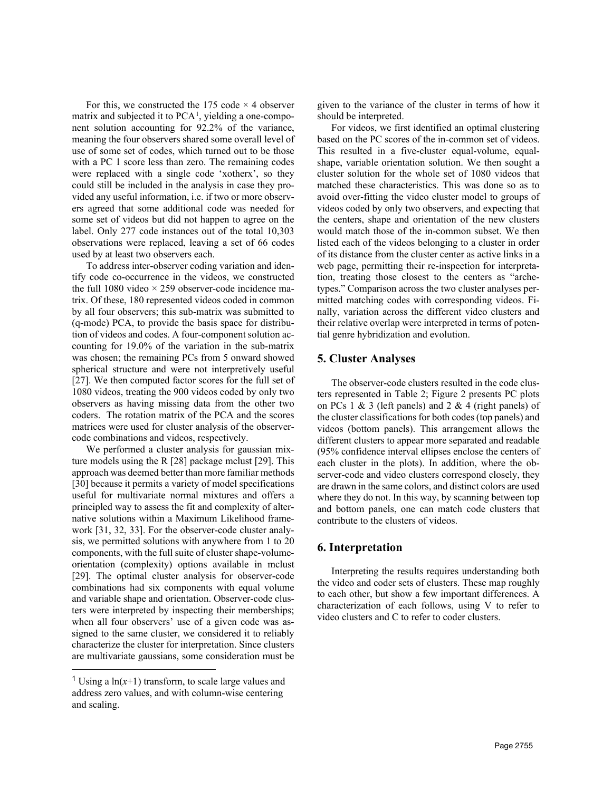For this, we constructed the 175 code  $\times$  4 observer matrix and subjected it to PCA<sup>[1](#page-4-0)</sup>, yielding a one-component solution accounting for 92.2% of the variance, meaning the four observers shared some overall level of use of some set of codes, which turned out to be those with a PC 1 score less than zero. The remaining codes were replaced with a single code 'xotherx', so they could still be included in the analysis in case they provided any useful information, i.e. if two or more observers agreed that some additional code was needed for some set of videos but did not happen to agree on the label. Only 277 code instances out of the total 10,303 observations were replaced, leaving a set of 66 codes used by at least two observers each.

To address inter-observer coding variation and identify code co-occurrence in the videos, we constructed the full 1080 video  $\times$  259 observer-code incidence matrix. Of these, 180 represented videos coded in common by all four observers; this sub-matrix was submitted to (q-mode) PCA, to provide the basis space for distribution of videos and codes. A four-component solution accounting for 19.0% of the variation in the sub-matrix was chosen; the remaining PCs from 5 onward showed spherical structure and were not interpretively useful [27]. We then computed factor scores for the full set of 1080 videos, treating the 900 videos coded by only two observers as having missing data from the other two coders. The rotation matrix of the PCA and the scores matrices were used for cluster analysis of the observercode combinations and videos, respectively.

We performed a cluster analysis for gaussian mixture models using the R [28] package mclust [29]. This approach was deemed better than more familiar methods [30] because it permits a variety of model specifications useful for multivariate normal mixtures and offers a principled way to assess the fit and complexity of alternative solutions within a Maximum Likelihood framework [31, 32, 33]. For the observer-code cluster analysis, we permitted solutions with anywhere from 1 to 20 components, with the full suite of cluster shape-volumeorientation (complexity) options available in mclust [29]. The optimal cluster analysis for observer-code combinations had six components with equal volume and variable shape and orientation. Observer-code clusters were interpreted by inspecting their memberships; when all four observers' use of a given code was assigned to the same cluster, we considered it to reliably characterize the cluster for interpretation. Since clusters are multivariate gaussians, some consideration must be

given to the variance of the cluster in terms of how it should be interpreted.

For videos, we first identified an optimal clustering based on the PC scores of the in-common set of videos. This resulted in a five-cluster equal-volume, equalshape, variable orientation solution. We then sought a cluster solution for the whole set of 1080 videos that matched these characteristics. This was done so as to avoid over-fitting the video cluster model to groups of videos coded by only two observers, and expecting that the centers, shape and orientation of the new clusters would match those of the in-common subset. We then listed each of the videos belonging to a cluster in order of its distance from the cluster center as active links in a web page, permitting their re-inspection for interpretation, treating those closest to the centers as "archetypes." Comparison across the two cluster analyses permitted matching codes with corresponding videos. Finally, variation across the different video clusters and their relative overlap were interpreted in terms of potential genre hybridization and evolution.

## **5. Cluster Analyses**

The observer-code clusters resulted in the code clusters represented in Table 2; Figure 2 presents PC plots on PCs 1 & 3 (left panels) and 2 & 4 (right panels) of the cluster classifications for both codes (top panels) and videos (bottom panels). This arrangement allows the different clusters to appear more separated and readable (95% confidence interval ellipses enclose the centers of each cluster in the plots). In addition, where the observer-code and video clusters correspond closely, they are drawn in the same colors, and distinct colors are used where they do not. In this way, by scanning between top and bottom panels, one can match code clusters that contribute to the clusters of videos.

#### **6. Interpretation**

Interpreting the results requires understanding both the video and coder sets of clusters. These map roughly to each other, but show a few important differences. A characterization of each follows, using V to refer to video clusters and C to refer to coder clusters.

<span id="page-4-0"></span><sup>&</sup>lt;sup>1</sup> Using a  $ln(x+1)$  transform, to scale large values and address zero values, and with column-wise centering and scaling.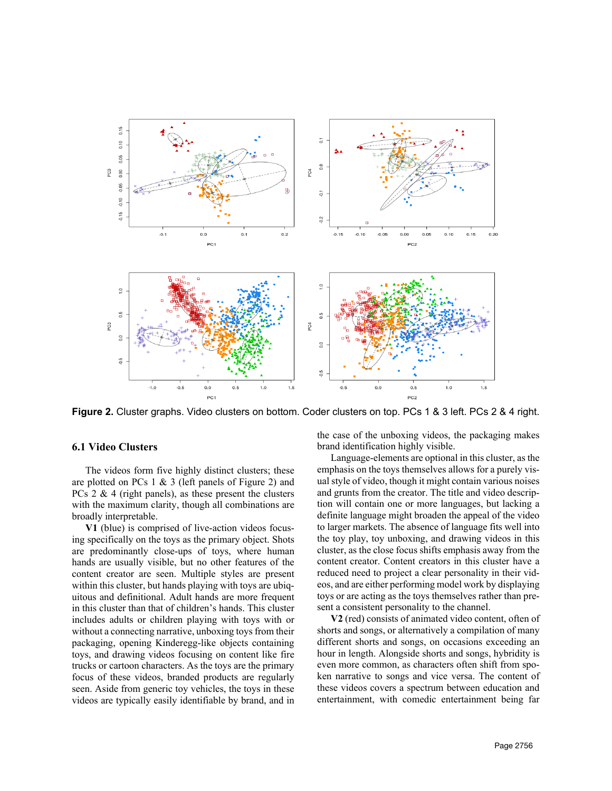

**Figure 2.** Cluster graphs. Video clusters on bottom. Coder clusters on top. PCs 1 & 3 left. PCs 2 & 4 right.

## **6.1 Video Clusters**

The videos form five highly distinct clusters; these are plotted on PCs 1 & 3 (left panels of Figure 2) and PCs  $2 \& 4$  (right panels), as these present the clusters with the maximum clarity, though all combinations are broadly interpretable.

**V1** (blue) is comprised of live-action videos focusing specifically on the toys as the primary object. Shots are predominantly close-ups of toys, where human hands are usually visible, but no other features of the content creator are seen. Multiple styles are present within this cluster, but hands playing with toys are ubiquitous and definitional. Adult hands are more frequent in this cluster than that of children's hands. This cluster includes adults or children playing with toys with or without a connecting narrative, unboxing toys from their packaging, opening Kinderegg-like objects containing toys, and drawing videos focusing on content like fire trucks or cartoon characters. As the toys are the primary focus of these videos, branded products are regularly seen. Aside from generic toy vehicles, the toys in these videos are typically easily identifiable by brand, and in

the case of the unboxing videos, the packaging makes brand identification highly visible.

Language-elements are optional in this cluster, as the emphasis on the toys themselves allows for a purely visual style of video, though it might contain various noises and grunts from the creator. The title and video description will contain one or more languages, but lacking a definite language might broaden the appeal of the video to larger markets. The absence of language fits well into the toy play, toy unboxing, and drawing videos in this cluster, as the close focus shifts emphasis away from the content creator. Content creators in this cluster have a reduced need to project a clear personality in their videos, and are either performing model work by displaying toys or are acting as the toys themselves rather than present a consistent personality to the channel.

**V2** (red) consists of animated video content, often of shorts and songs, or alternatively a compilation of many different shorts and songs, on occasions exceeding an hour in length. Alongside shorts and songs, hybridity is even more common, as characters often shift from spoken narrative to songs and vice versa. The content of these videos covers a spectrum between education and entertainment, with comedic entertainment being far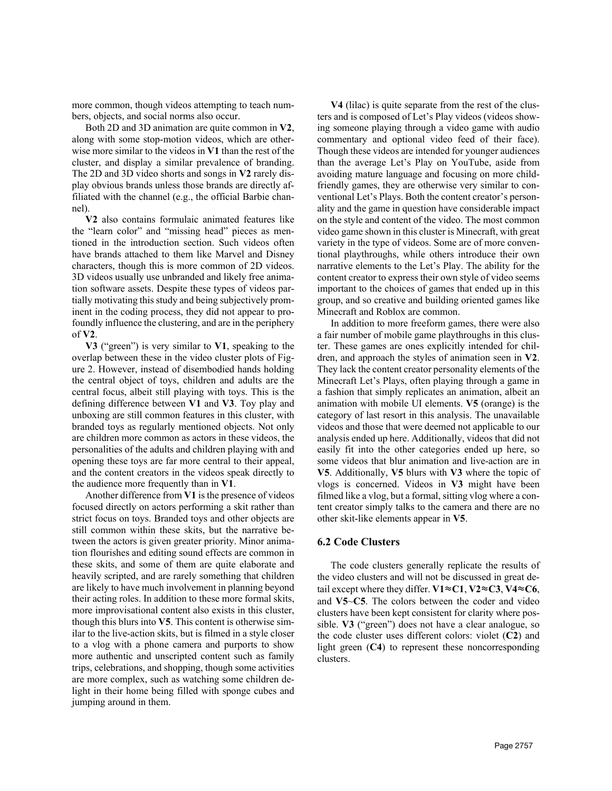more common, though videos attempting to teach numbers, objects, and social norms also occur.

Both 2D and 3D animation are quite common in **V2**, along with some stop-motion videos, which are otherwise more similar to the videos in **V1** than the rest of the cluster, and display a similar prevalence of branding. The 2D and 3D video shorts and songs in **V2** rarely display obvious brands unless those brands are directly affiliated with the channel (e.g., the official Barbie channel).

**V2** also contains formulaic animated features like the "learn color" and "missing head" pieces as mentioned in the introduction section. Such videos often have brands attached to them like Marvel and Disney characters, though this is more common of 2D videos. 3D videos usually use unbranded and likely free animation software assets. Despite these types of videos partially motivating this study and being subjectively prominent in the coding process, they did not appear to profoundly influence the clustering, and are in the periphery of **V2**.

**V3** ("green") is very similar to **V1**, speaking to the overlap between these in the video cluster plots of Figure 2. However, instead of disembodied hands holding the central object of toys, children and adults are the central focus, albeit still playing with toys. This is the defining difference between **V1** and **V3**. Toy play and unboxing are still common features in this cluster, with branded toys as regularly mentioned objects. Not only are children more common as actors in these videos, the personalities of the adults and children playing with and opening these toys are far more central to their appeal, and the content creators in the videos speak directly to the audience more frequently than in **V1**.

Another difference from **V1** is the presence of videos focused directly on actors performing a skit rather than strict focus on toys. Branded toys and other objects are still common within these skits, but the narrative between the actors is given greater priority. Minor animation flourishes and editing sound effects are common in these skits, and some of them are quite elaborate and heavily scripted, and are rarely something that children are likely to have much involvement in planning beyond their acting roles. In addition to these more formal skits, more improvisational content also exists in this cluster, though this blurs into **V5**. This content is otherwise similar to the live-action skits, but is filmed in a style closer to a vlog with a phone camera and purports to show more authentic and unscripted content such as family trips, celebrations, and shopping, though some activities are more complex, such as watching some children delight in their home being filled with sponge cubes and jumping around in them.

**V4** (lilac) is quite separate from the rest of the clusters and is composed of Let's Play videos (videos showing someone playing through a video game with audio commentary and optional video feed of their face). Though these videos are intended for younger audiences than the average Let's Play on YouTube, aside from avoiding mature language and focusing on more childfriendly games, they are otherwise very similar to conventional Let's Plays. Both the content creator's personality and the game in question have considerable impact on the style and content of the video. The most common video game shown in this cluster is Minecraft, with great variety in the type of videos. Some are of more conventional playthroughs, while others introduce their own narrative elements to the Let's Play. The ability for the content creator to express their own style of video seems important to the choices of games that ended up in this group, and so creative and building oriented games like Minecraft and Roblox are common.

In addition to more freeform games, there were also a fair number of mobile game playthroughs in this cluster. These games are ones explicitly intended for children, and approach the styles of animation seen in **V2**. They lack the content creator personality elements of the Minecraft Let's Plays, often playing through a game in a fashion that simply replicates an animation, albeit an animation with mobile UI elements. **V5** (orange) is the category of last resort in this analysis. The unavailable videos and those that were deemed not applicable to our analysis ended up here. Additionally, videos that did not easily fit into the other categories ended up here, so some videos that blur animation and live-action are in **V5**. Additionally, **V5** blurs with **V3** where the topic of vlogs is concerned. Videos in **V3** might have been filmed like a vlog, but a formal, sitting vlog where a content creator simply talks to the camera and there are no other skit-like elements appear in **V5**.

## **6.2 Code Clusters**

The code clusters generally replicate the results of the video clusters and will not be discussed in great detail except where they differ. **V1**≈**C1**, **V2**≈**C3**, **V4**≈**C6**, and **V5**~**C5**. The colors between the coder and video clusters have been kept consistent for clarity where possible. **V3** ("green") does not have a clear analogue, so the code cluster uses different colors: violet (**C2**) and light green (**C4**) to represent these noncorresponding clusters.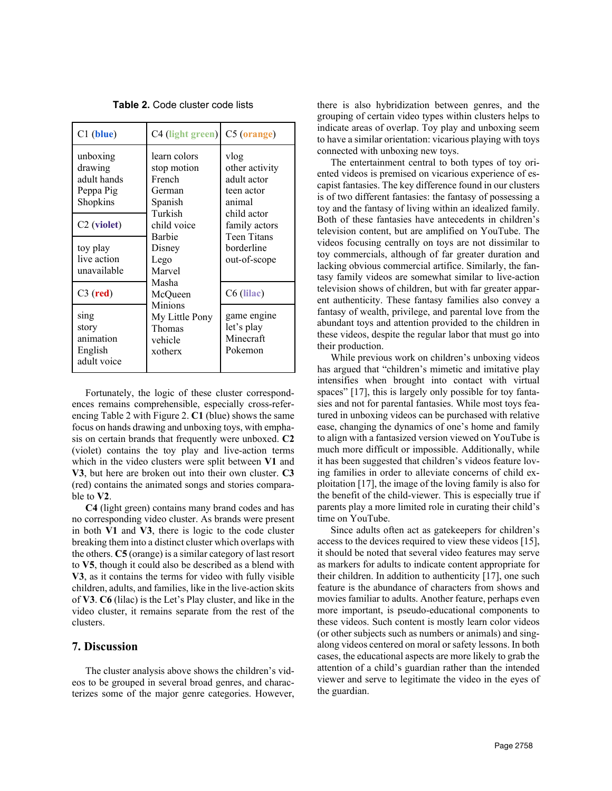| $C1$ (blue)                                                                            | C4 (light green) C5 (orange)                                                         |                                                                                               |
|----------------------------------------------------------------------------------------|--------------------------------------------------------------------------------------|-----------------------------------------------------------------------------------------------|
| unboxing<br>drawing<br>adult hands<br>Peppa Pig<br>Shopkins<br>C <sub>2</sub> (violet) | learn colors<br>stop motion<br>French<br>German<br>Spanish<br>Turkish<br>child voice | vlog<br>other activity<br>adult actor<br>teen actor<br>animal<br>child actor<br>family actors |
| toy play<br>live action<br>unavailable                                                 | Barbie<br>Disney<br>Lego<br>Marvel                                                   | Teen Titans<br>borderline<br>out-of-scope                                                     |
| $C3$ (red)                                                                             | Masha<br>McQueen                                                                     | C6 (lilac)                                                                                    |
| sing<br>story<br>animation<br>English<br>adult voice                                   | <b>Minions</b><br>My Little Pony<br>Thomas<br>vehicle<br>xotherx                     | game engine<br>let's play<br>Minecraft<br>Pokemon                                             |

**Table 2.** Code cluster code lists

Fortunately, the logic of these cluster correspondences remains comprehensible, especially cross-referencing Table 2 with Figure 2. **C1** (blue) shows the same focus on hands drawing and unboxing toys, with emphasis on certain brands that frequently were unboxed. **C2**  (violet) contains the toy play and live-action terms which in the video clusters were split between **V1** and **V3**, but here are broken out into their own cluster. **C3**  (red) contains the animated songs and stories comparable to **V2**.

**C4** (light green) contains many brand codes and has no corresponding video cluster. As brands were present in both **V1** and **V3**, there is logic to the code cluster breaking them into a distinct cluster which overlaps with the others. **C5** (orange) is a similar category of last resort to **V5**, though it could also be described as a blend with **V3**, as it contains the terms for video with fully visible children, adults, and families, like in the live-action skits of **V3**. **C6** (lilac) is the Let's Play cluster, and like in the video cluster, it remains separate from the rest of the clusters.

#### **7. Discussion**

The cluster analysis above shows the children's videos to be grouped in several broad genres, and characterizes some of the major genre categories. However,

there is also hybridization between genres, and the grouping of certain video types within clusters helps to indicate areas of overlap. Toy play and unboxing seem to have a similar orientation: vicarious playing with toys connected with unboxing new toys.

The entertainment central to both types of toy oriented videos is premised on vicarious experience of escapist fantasies. The key difference found in our clusters is of two different fantasies: the fantasy of possessing a toy and the fantasy of living within an idealized family. Both of these fantasies have antecedents in children's television content, but are amplified on YouTube. The videos focusing centrally on toys are not dissimilar to toy commercials, although of far greater duration and lacking obvious commercial artifice. Similarly, the fantasy family videos are somewhat similar to live-action television shows of children, but with far greater apparent authenticity. These fantasy families also convey a fantasy of wealth, privilege, and parental love from the abundant toys and attention provided to the children in these videos, despite the regular labor that must go into their production.

While previous work on children's unboxing videos has argued that "children's mimetic and imitative play intensifies when brought into contact with virtual spaces" [17], this is largely only possible for toy fantasies and not for parental fantasies. While most toys featured in unboxing videos can be purchased with relative ease, changing the dynamics of one's home and family to align with a fantasized version viewed on YouTube is much more difficult or impossible. Additionally, while it has been suggested that children's videos feature loving families in order to alleviate concerns of child exploitation [17], the image of the loving family is also for the benefit of the child-viewer. This is especially true if parents play a more limited role in curating their child's time on YouTube.

Since adults often act as gatekeepers for children's access to the devices required to view these videos [15], it should be noted that several video features may serve as markers for adults to indicate content appropriate for their children. In addition to authenticity [17], one such feature is the abundance of characters from shows and movies familiar to adults. Another feature, perhaps even more important, is pseudo-educational components to these videos. Such content is mostly learn color videos (or other subjects such as numbers or animals) and singalong videos centered on moral or safety lessons. In both cases, the educational aspects are more likely to grab the attention of a child's guardian rather than the intended viewer and serve to legitimate the video in the eyes of the guardian.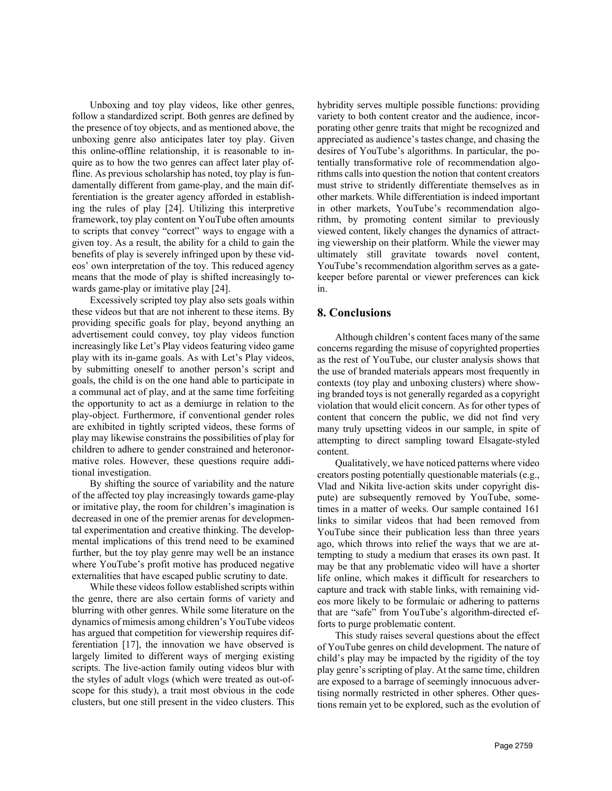Unboxing and toy play videos, like other genres, follow a standardized script. Both genres are defined by the presence of toy objects, and as mentioned above, the unboxing genre also anticipates later toy play. Given this online-offline relationship, it is reasonable to inquire as to how the two genres can affect later play offline. As previous scholarship has noted, toy play is fundamentally different from game-play, and the main differentiation is the greater agency afforded in establishing the rules of play [24]. Utilizing this interpretive framework, toy play content on YouTube often amounts to scripts that convey "correct" ways to engage with a given toy. As a result, the ability for a child to gain the benefits of play is severely infringed upon by these videos' own interpretation of the toy. This reduced agency means that the mode of play is shifted increasingly towards game-play or imitative play [24].

Excessively scripted toy play also sets goals within these videos but that are not inherent to these items. By providing specific goals for play, beyond anything an advertisement could convey, toy play videos function increasingly like Let's Play videos featuring video game play with its in-game goals. As with Let's Play videos, by submitting oneself to another person's script and goals, the child is on the one hand able to participate in a communal act of play, and at the same time forfeiting the opportunity to act as a demiurge in relation to the play-object. Furthermore, if conventional gender roles are exhibited in tightly scripted videos, these forms of play may likewise constrains the possibilities of play for children to adhere to gender constrained and heteronormative roles. However, these questions require additional investigation.

By shifting the source of variability and the nature of the affected toy play increasingly towards game-play or imitative play, the room for children's imagination is decreased in one of the premier arenas for developmental experimentation and creative thinking. The developmental implications of this trend need to be examined further, but the toy play genre may well be an instance where YouTube's profit motive has produced negative externalities that have escaped public scrutiny to date.

While these videos follow established scripts within the genre, there are also certain forms of variety and blurring with other genres. While some literature on the dynamics of mimesis among children's YouTube videos has argued that competition for viewership requires differentiation [17], the innovation we have observed is largely limited to different ways of merging existing scripts. The live-action family outing videos blur with the styles of adult vlogs (which were treated as out-ofscope for this study), a trait most obvious in the code clusters, but one still present in the video clusters. This

hybridity serves multiple possible functions: providing variety to both content creator and the audience, incorporating other genre traits that might be recognized and appreciated as audience's tastes change, and chasing the desires of YouTube's algorithms. In particular, the potentially transformative role of recommendation algorithms calls into question the notion that content creators must strive to stridently differentiate themselves as in other markets. While differentiation is indeed important in other markets, YouTube's recommendation algorithm, by promoting content similar to previously viewed content, likely changes the dynamics of attracting viewership on their platform. While the viewer may ultimately still gravitate towards novel content, YouTube's recommendation algorithm serves as a gatekeeper before parental or viewer preferences can kick in.

# **8. Conclusions**

Although children's content faces many of the same concerns regarding the misuse of copyrighted properties as the rest of YouTube, our cluster analysis shows that the use of branded materials appears most frequently in contexts (toy play and unboxing clusters) where showing branded toys is not generally regarded as a copyright violation that would elicit concern. As for other types of content that concern the public, we did not find very many truly upsetting videos in our sample, in spite of attempting to direct sampling toward Elsagate-styled content.

Qualitatively, we have noticed patterns where video creators posting potentially questionable materials (e.g., Vlad and Nikita live-action skits under copyright dispute) are subsequently removed by YouTube, sometimes in a matter of weeks. Our sample contained 161 links to similar videos that had been removed from YouTube since their publication less than three years ago, which throws into relief the ways that we are attempting to study a medium that erases its own past. It may be that any problematic video will have a shorter life online, which makes it difficult for researchers to capture and track with stable links, with remaining videos more likely to be formulaic or adhering to patterns that are "safe" from YouTube's algorithm-directed efforts to purge problematic content.

This study raises several questions about the effect of YouTube genres on child development. The nature of child's play may be impacted by the rigidity of the toy play genre's scripting of play. At the same time, children are exposed to a barrage of seemingly innocuous advertising normally restricted in other spheres. Other questions remain yet to be explored, such as the evolution of